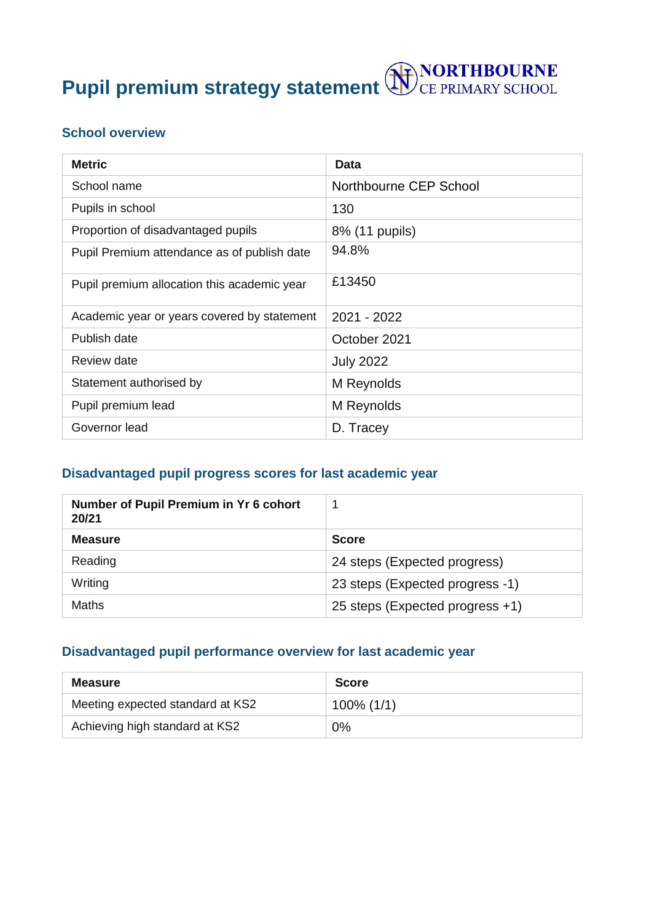**Pupil premium strategy statement <b>WE** CE PRIMARY SCHOOL

### **School overview**

| <b>Metric</b>                               | <b>Data</b>            |
|---------------------------------------------|------------------------|
| School name                                 | Northbourne CEP School |
| Pupils in school                            | 130                    |
| Proportion of disadvantaged pupils          | 8% (11 pupils)         |
| Pupil Premium attendance as of publish date | 94.8%                  |
| Pupil premium allocation this academic year | £13450                 |
| Academic year or years covered by statement | 2021 - 2022            |
| Publish date                                | October 2021           |
| Review date                                 | <b>July 2022</b>       |
| Statement authorised by                     | M Reynolds             |
| Pupil premium lead                          | M Reynolds             |
| Governor lead                               | D. Tracey              |

## **Disadvantaged pupil progress scores for last academic year**

| Number of Pupil Premium in Yr 6 cohort<br>20/21 |                                 |
|-------------------------------------------------|---------------------------------|
| <b>Measure</b>                                  | <b>Score</b>                    |
| Reading                                         | 24 steps (Expected progress)    |
| Writing                                         | 23 steps (Expected progress -1) |
| Maths                                           | 25 steps (Expected progress +1) |

### **Disadvantaged pupil performance overview for last academic year**

| <b>Measure</b>                   | <b>Score</b> |
|----------------------------------|--------------|
| Meeting expected standard at KS2 | 100% (1/1)   |
| Achieving high standard at KS2   | 0%           |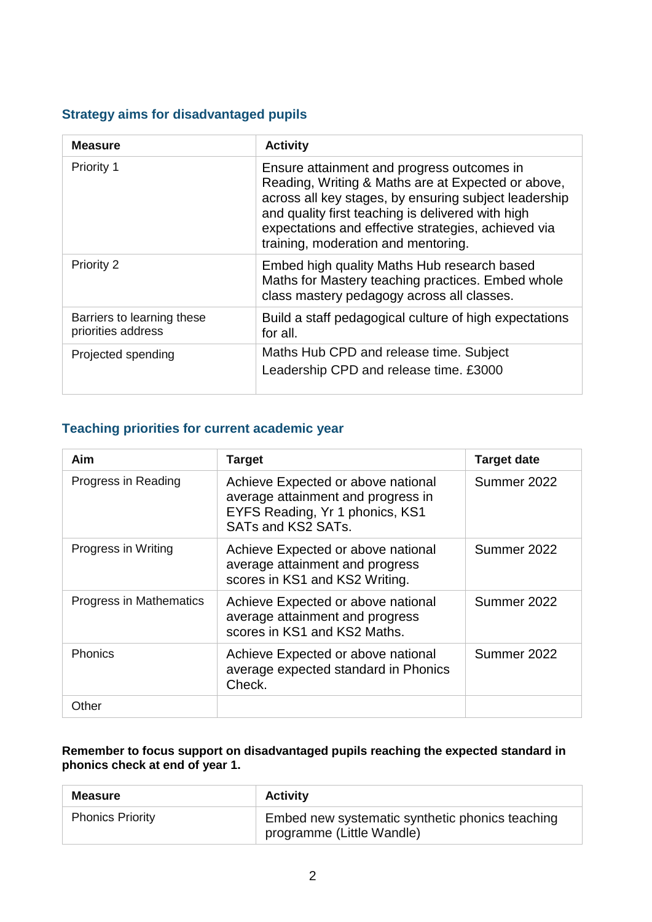#### **Strategy aims for disadvantaged pupils**

| <b>Measure</b>                                   | <b>Activity</b>                                                                                                                                                                                                                                                                                              |
|--------------------------------------------------|--------------------------------------------------------------------------------------------------------------------------------------------------------------------------------------------------------------------------------------------------------------------------------------------------------------|
| Priority 1                                       | Ensure attainment and progress outcomes in<br>Reading, Writing & Maths are at Expected or above,<br>across all key stages, by ensuring subject leadership<br>and quality first teaching is delivered with high<br>expectations and effective strategies, achieved via<br>training, moderation and mentoring. |
| <b>Priority 2</b>                                | Embed high quality Maths Hub research based<br>Maths for Mastery teaching practices. Embed whole<br>class mastery pedagogy across all classes.                                                                                                                                                               |
| Barriers to learning these<br>priorities address | Build a staff pedagogical culture of high expectations<br>for all.                                                                                                                                                                                                                                           |
| Projected spending                               | Maths Hub CPD and release time. Subject<br>Leadership CPD and release time. £3000                                                                                                                                                                                                                            |

### **Teaching priorities for current academic year**

| Aim                            | <b>Target</b>                                                                                                                     | <b>Target date</b> |
|--------------------------------|-----------------------------------------------------------------------------------------------------------------------------------|--------------------|
| Progress in Reading            | Achieve Expected or above national<br>average attainment and progress in<br>EYFS Reading, Yr 1 phonics, KS1<br>SATs and KS2 SATs. | Summer 2022        |
| Progress in Writing            | Achieve Expected or above national<br>average attainment and progress<br>scores in KS1 and KS2 Writing.                           | Summer 2022        |
| <b>Progress in Mathematics</b> | Achieve Expected or above national<br>average attainment and progress<br>scores in KS1 and KS2 Maths.                             | Summer 2022        |
| Phonics                        | Achieve Expected or above national<br>average expected standard in Phonics<br>Check.                                              | Summer 2022        |
| Other                          |                                                                                                                                   |                    |

#### **Remember to focus support on disadvantaged pupils reaching the expected standard in phonics check at end of year 1.**

| <b>Measure</b>          | <b>Activity</b>                                                              |
|-------------------------|------------------------------------------------------------------------------|
| <b>Phonics Priority</b> | Embed new systematic synthetic phonics teaching<br>programme (Little Wandle) |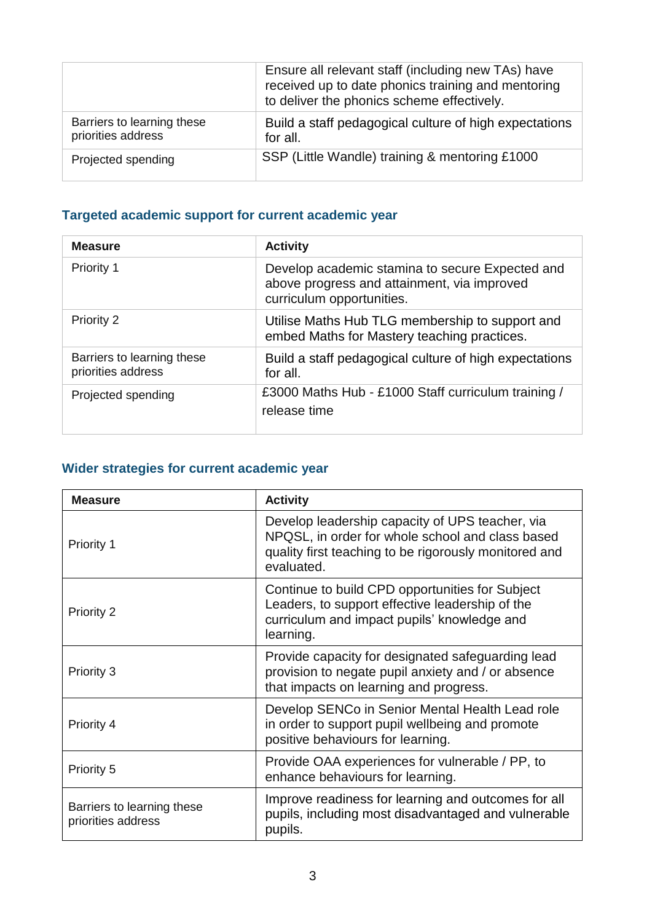|                                                  | Ensure all relevant staff (including new TAs) have<br>received up to date phonics training and mentoring<br>to deliver the phonics scheme effectively. |
|--------------------------------------------------|--------------------------------------------------------------------------------------------------------------------------------------------------------|
| Barriers to learning these<br>priorities address | Build a staff pedagogical culture of high expectations<br>for all.                                                                                     |
| Projected spending                               | SSP (Little Wandle) training & mentoring £1000                                                                                                         |

## **Targeted academic support for current academic year**

| <b>Measure</b>                                   | <b>Activity</b>                                                                                                             |
|--------------------------------------------------|-----------------------------------------------------------------------------------------------------------------------------|
| Priority 1                                       | Develop academic stamina to secure Expected and<br>above progress and attainment, via improved<br>curriculum opportunities. |
| Priority 2                                       | Utilise Maths Hub TLG membership to support and<br>embed Maths for Mastery teaching practices.                              |
| Barriers to learning these<br>priorities address | Build a staff pedagogical culture of high expectations<br>for all.                                                          |
| Projected spending                               | £3000 Maths Hub - £1000 Staff curriculum training /<br>release time                                                         |

## **Wider strategies for current academic year**

| <b>Measure</b>                                   | <b>Activity</b>                                                                                                                                                            |
|--------------------------------------------------|----------------------------------------------------------------------------------------------------------------------------------------------------------------------------|
| Priority 1                                       | Develop leadership capacity of UPS teacher, via<br>NPQSL, in order for whole school and class based<br>quality first teaching to be rigorously monitored and<br>evaluated. |
| <b>Priority 2</b>                                | Continue to build CPD opportunities for Subject<br>Leaders, to support effective leadership of the<br>curriculum and impact pupils' knowledge and<br>learning.             |
| Priority 3                                       | Provide capacity for designated safeguarding lead<br>provision to negate pupil anxiety and / or absence<br>that impacts on learning and progress.                          |
| Priority 4                                       | Develop SENCo in Senior Mental Health Lead role<br>in order to support pupil wellbeing and promote<br>positive behaviours for learning.                                    |
| Priority 5                                       | Provide OAA experiences for vulnerable / PP, to<br>enhance behaviours for learning.                                                                                        |
| Barriers to learning these<br>priorities address | Improve readiness for learning and outcomes for all<br>pupils, including most disadvantaged and vulnerable<br>pupils.                                                      |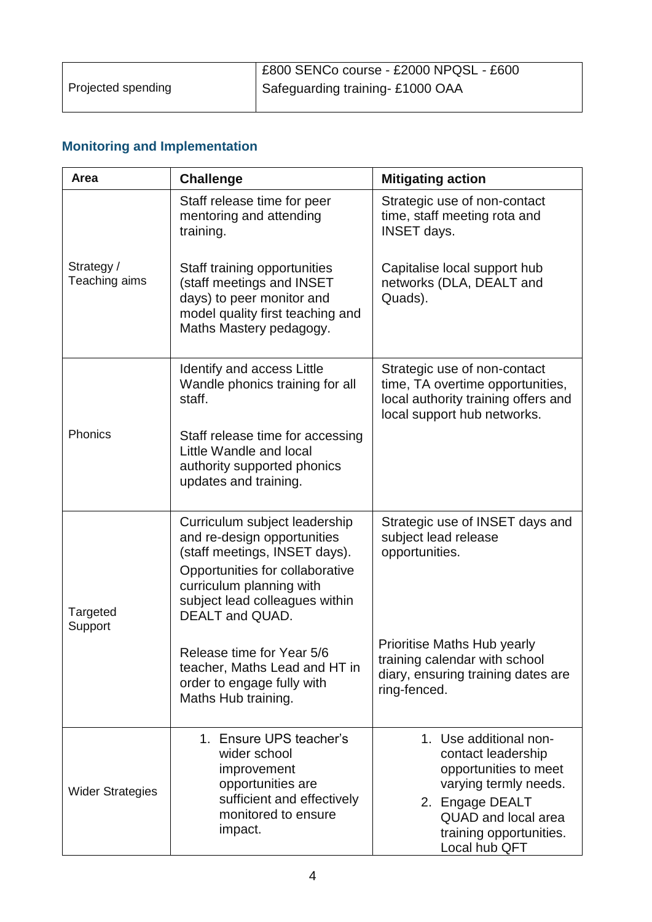|                    | £800 SENCo course - £2000 NPQSL - £600 |
|--------------------|----------------------------------------|
| Projected spending | <b>Safeguarding training-£1000 OAA</b> |
|                    |                                        |

# **Monitoring and Implementation**

| Area                        | <b>Challenge</b>                                                                                                                                                                                                  | <b>Mitigating action</b>                                                                                                                                                                    |
|-----------------------------|-------------------------------------------------------------------------------------------------------------------------------------------------------------------------------------------------------------------|---------------------------------------------------------------------------------------------------------------------------------------------------------------------------------------------|
|                             | Staff release time for peer<br>mentoring and attending<br>training.                                                                                                                                               | Strategic use of non-contact<br>time, staff meeting rota and<br><b>INSET days.</b>                                                                                                          |
| Strategy /<br>Teaching aims | Staff training opportunities<br>(staff meetings and INSET<br>days) to peer monitor and<br>model quality first teaching and<br>Maths Mastery pedagogy.                                                             | Capitalise local support hub<br>networks (DLA, DEALT and<br>Quads).                                                                                                                         |
|                             | Identify and access Little<br>Wandle phonics training for all<br>staff.                                                                                                                                           | Strategic use of non-contact<br>time, TA overtime opportunities,<br>local authority training offers and<br>local support hub networks.                                                      |
| Phonics                     | Staff release time for accessing<br>Little Wandle and local<br>authority supported phonics<br>updates and training.                                                                                               |                                                                                                                                                                                             |
| Targeted<br>Support         | Curriculum subject leadership<br>and re-design opportunities<br>(staff meetings, INSET days).<br>Opportunities for collaborative<br>curriculum planning with<br>subject lead colleagues within<br>DEALT and QUAD. | Strategic use of INSET days and<br>subject lead release<br>opportunities.                                                                                                                   |
|                             | Release time for Year 5/6<br>teacher, Maths Lead and HT in<br>order to engage fully with<br>Maths Hub training.                                                                                                   | Prioritise Maths Hub yearly<br>training calendar with school<br>diary, ensuring training dates are<br>ring-fenced.                                                                          |
| <b>Wider Strategies</b>     | 1. Ensure UPS teacher's<br>wider school<br>improvement<br>opportunities are<br>sufficient and effectively<br>monitored to ensure<br>impact.                                                                       | 1. Use additional non-<br>contact leadership<br>opportunities to meet<br>varying termly needs.<br>2. Engage DEALT<br><b>QUAD</b> and local area<br>training opportunities.<br>Local hub QFT |